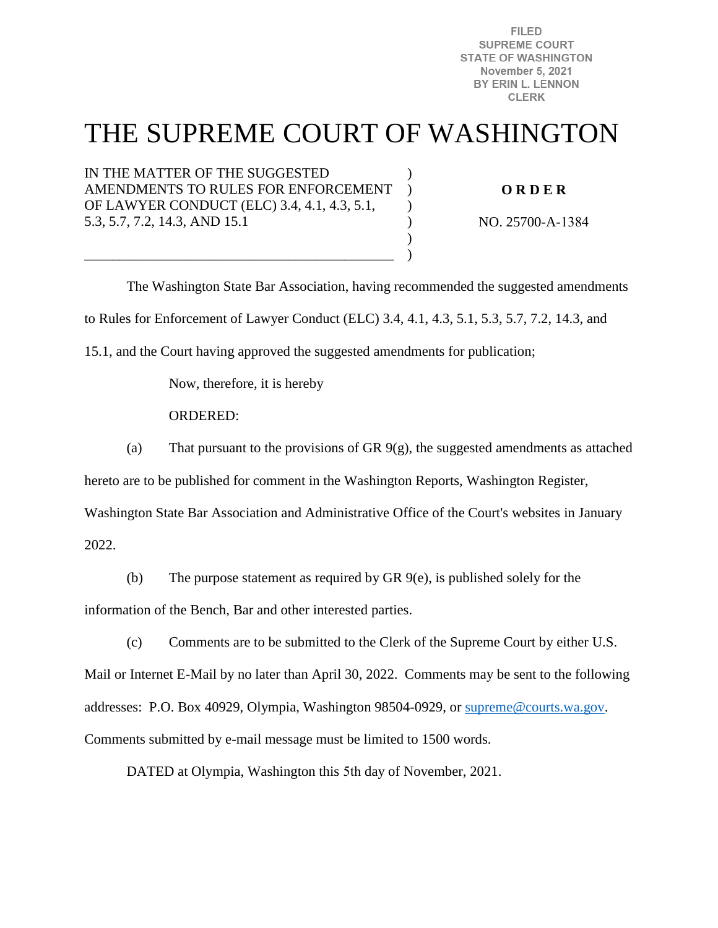**FILED SUPREME COURT STATE OF WASHINGTON November 5, 2021** BY ERIN L. LENNON **CLERK** 

# THE SUPREME COURT OF WASHINGTON

)  $\lambda$  $\lambda$ ) ) )

IN THE MATTER OF THE SUGGESTED AMENDMENTS TO RULES FOR ENFORCEMENT OF LAWYER CONDUCT (ELC) 3.4, 4.1, 4.3, 5.1, 5.3, 5.7, 7.2, 14.3, AND 15.1

\_\_\_\_\_\_\_\_\_\_\_\_\_\_\_\_\_\_\_\_\_\_\_\_\_\_\_\_\_\_\_\_\_\_\_\_\_\_\_\_\_\_\_\_

**O R D E R** 

NO. 25700-A-1384

The Washington State Bar Association, having recommended the suggested amendments

to Rules for Enforcement of Lawyer Conduct (ELC) 3.4, 4.1, 4.3, 5.1, 5.3, 5.7, 7.2, 14.3, and

15.1, and the Court having approved the suggested amendments for publication;

Now, therefore, it is hereby

ORDERED:

(a) That pursuant to the provisions of GR  $9(g)$ , the suggested amendments as attached

hereto are to be published for comment in the Washington Reports, Washington Register,

Washington State Bar Association and Administrative Office of the Court's websites in January

2022.

(b) The purpose statement as required by GR 9(e), is published solely for the information of the Bench, Bar and other interested parties.

(c) Comments are to be submitted to the Clerk of the Supreme Court by either U.S.

Mail or Internet E-Mail by no later than April 30, 2022. Comments may be sent to the following addresses: P.O. Box 40929, Olympia, Washington 98504-0929, or [supreme@courts.wa.gov.](mailto:supreme@courts.wa.gov) Comments submitted by e-mail message must be limited to 1500 words.

DATED at Olympia, Washington this 5th day of November, 2021.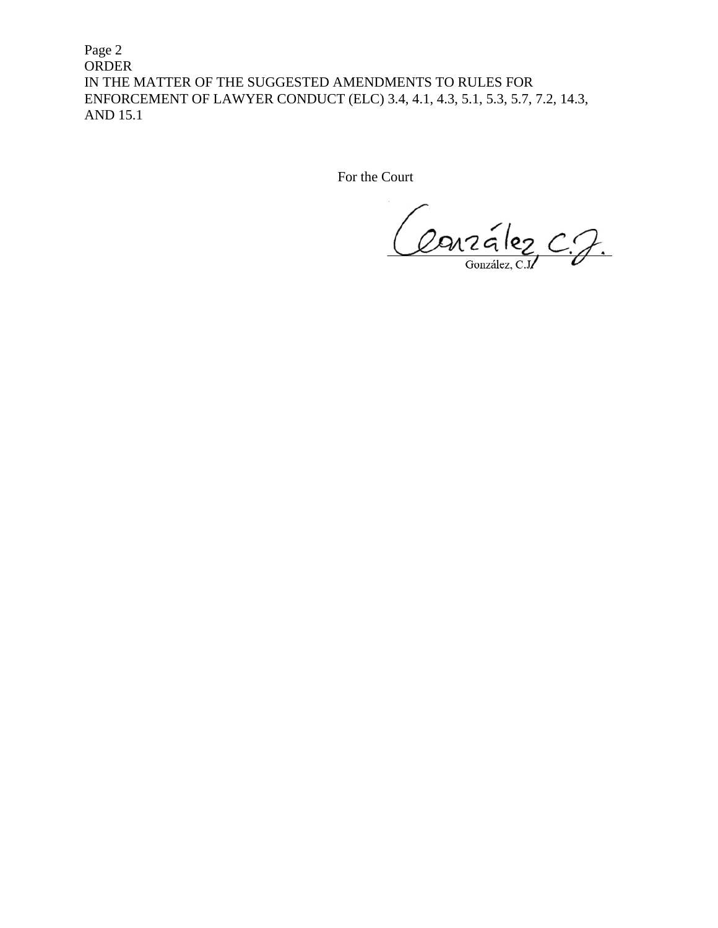Page 2 ORDER IN THE MATTER OF THE SUGGESTED AMENDMENTS TO RULES FOR ENFORCEMENT OF LAWYER CONDUCT (ELC) 3.4, 4.1, 4.3, 5.1, 5.3, 5.7, 7.2, 14.3, AND 15.1

For the Court

Conzélez C.J.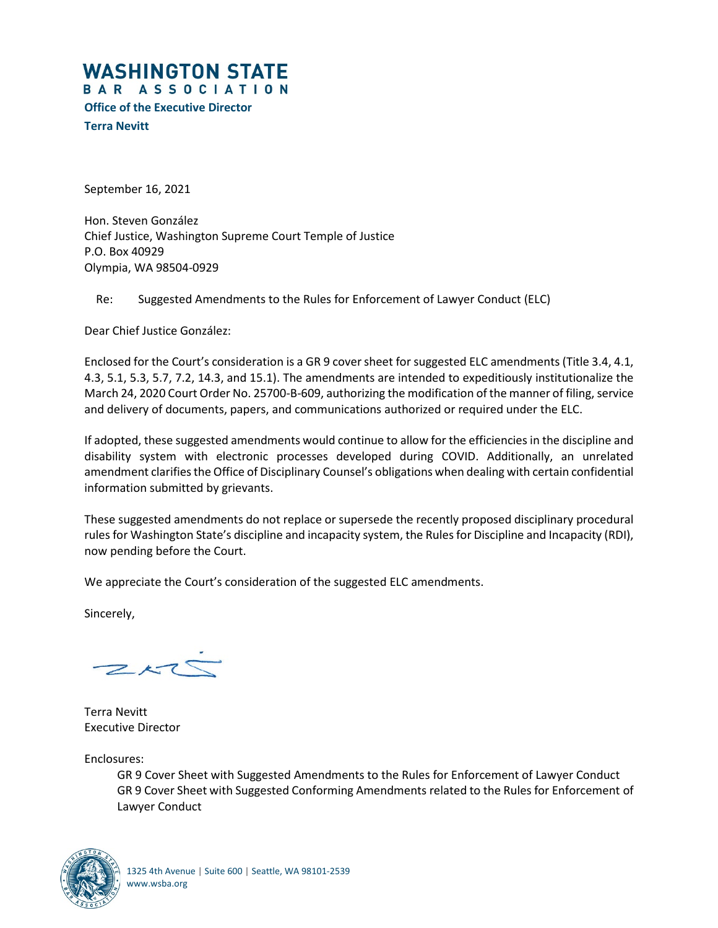# **WASHINGTON STATE**

BAR ASSOCIATION

**Office of the Executive Director**

**Terra Nevitt**

September 16, 2021

Hon. Steven González Chief Justice, Washington Supreme Court Temple of Justice P.O. Box 40929 Olympia, WA 98504-0929

Re: Suggested Amendments to the Rules for Enforcement of Lawyer Conduct (ELC)

Dear Chief Justice González:

Enclosed for the Court's consideration is a GR 9 cover sheet for suggested ELC amendments (Title 3.4, 4.1, 4.3, 5.1, 5.3, 5.7, 7.2, 14.3, and 15.1). The amendments are intended to expeditiously institutionalize the March 24, 2020 Court Order No. 25700-B-609, authorizing the modification of the manner of filing, service and delivery of documents, papers, and communications authorized or required under the ELC.

If adopted, these suggested amendments would continue to allow for the efficiencies in the discipline and disability system with electronic processes developed during COVID. Additionally, an unrelated amendment clarifies the Office of Disciplinary Counsel's obligations when dealing with certain confidential information submitted by grievants.

These suggested amendments do not replace or supersede the recently proposed disciplinary procedural rules for Washington State's discipline and incapacity system, the Rules for Discipline and Incapacity (RDI), now pending before the Court.

We appreciate the Court's consideration of the suggested ELC amendments.

Sincerely,

 $ZK\overset{.}{\subset }\mathbb{C}$ 

Terra Nevitt Executive Director

Enclosures:

GR 9 Cover Sheet with Suggested Amendments to the Rules for Enforcement of Lawyer Conduct GR 9 Cover Sheet with Suggested Conforming Amendments related to the Rules for Enforcement of Lawyer Conduct

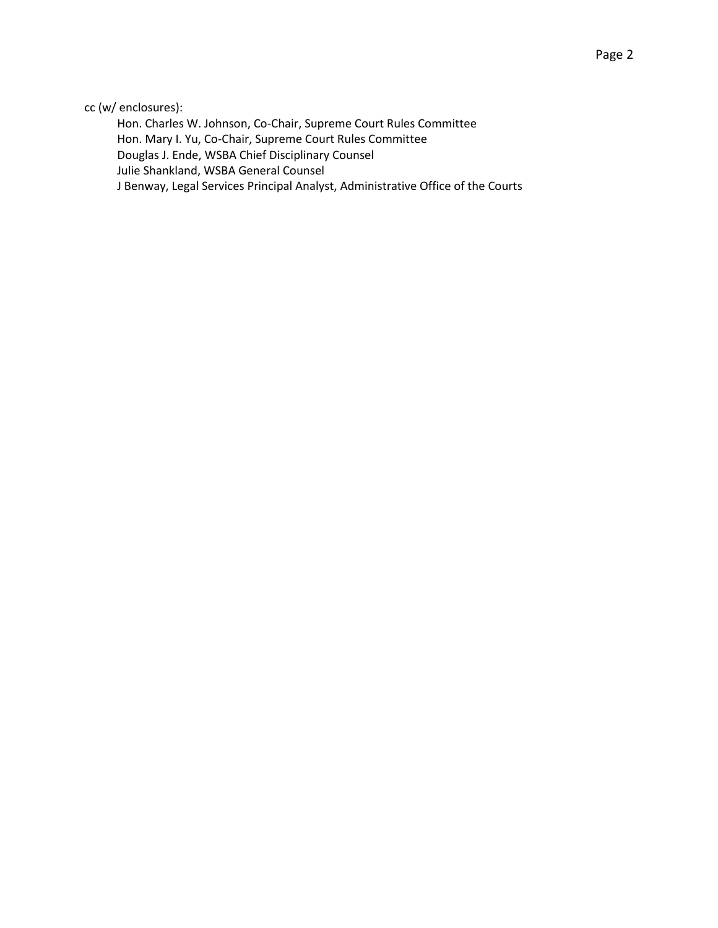Hon. Charles W. Johnson, Co-Chair, Supreme Court Rules Committee Hon. Mary I. Yu, Co-Chair, Supreme Court Rules Committee Douglas J. Ende, WSBA Chief Disciplinary Counsel Julie Shankland, WSBA General Counsel J Benway, Legal Services Principal Analyst, Administrative Office of the Courts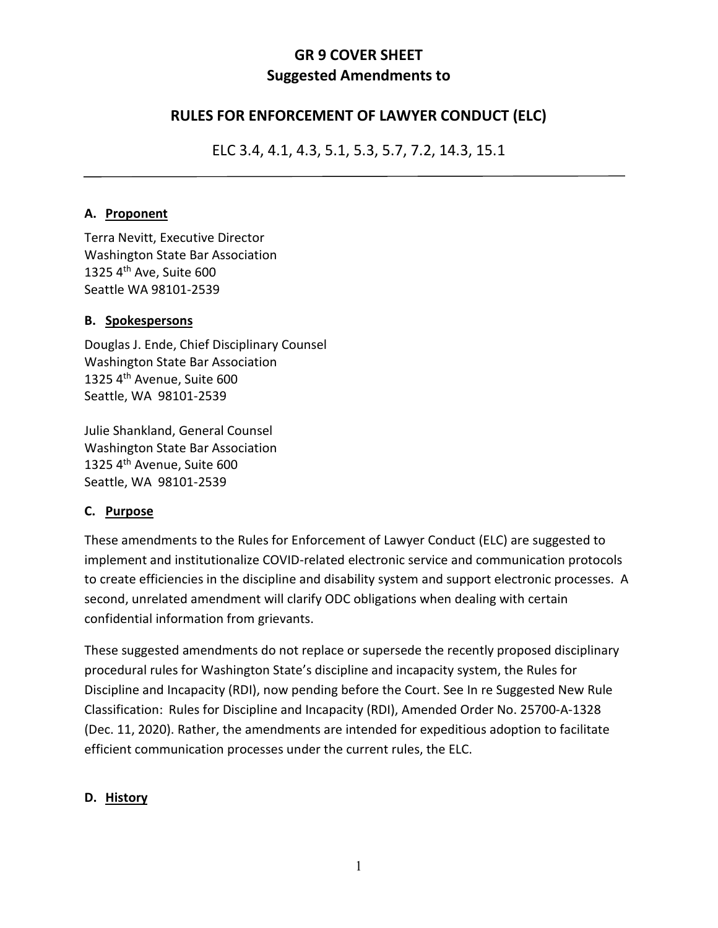# **GR 9 COVER SHEET Suggested Amendments to**

# **RULES FOR ENFORCEMENT OF LAWYER CONDUCT (ELC)**

ELC 3.4, 4.1, 4.3, 5.1, 5.3, 5.7, 7.2, 14.3, 15.1

#### **A. Proponent**

Terra Nevitt, Executive Director Washington State Bar Association 1325 4th Ave, Suite 600 Seattle WA 98101-2539

#### **B. Spokespersons**

Douglas J. Ende, Chief Disciplinary Counsel Washington State Bar Association 1325 4th Avenue, Suite 600 Seattle, WA 98101-2539

Julie Shankland, General Counsel Washington State Bar Association 1325 4th Avenue, Suite 600 Seattle, WA 98101-2539

### **C. Purpose**

These amendments to the Rules for Enforcement of Lawyer Conduct (ELC) are suggested to implement and institutionalize COVID-related electronic service and communication protocols to create efficiencies in the discipline and disability system and support electronic processes. A second, unrelated amendment will clarify ODC obligations when dealing with certain confidential information from grievants.

These suggested amendments do not replace or supersede the recently proposed disciplinary procedural rules for Washington State's discipline and incapacity system, the Rules for Discipline and Incapacity (RDI), now pending before the Court. See In re Suggested New Rule Classification: Rules for Discipline and Incapacity (RDI), Amended Order No. 25700-A-1328 (Dec. 11, 2020). Rather, the amendments are intended for expeditious adoption to facilitate efficient communication processes under the current rules, the ELC.

### **D. History**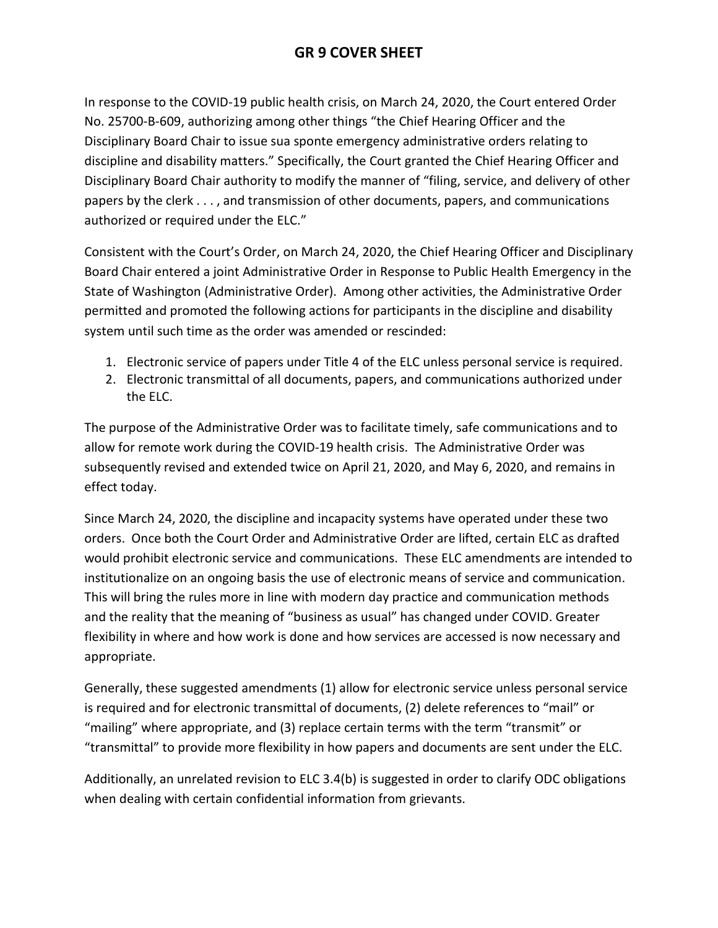In response to the COVID-19 public health crisis, on March 24, 2020, the Court entered Order No. 25700-B-609, authorizing among other things "the Chief Hearing Officer and the Disciplinary Board Chair to issue sua sponte emergency administrative orders relating to discipline and disability matters." Specifically, the Court granted the Chief Hearing Officer and Disciplinary Board Chair authority to modify the manner of "filing, service, and delivery of other papers by the clerk . . . , and transmission of other documents, papers, and communications authorized or required under the ELC."

Consistent with the Court's Order, on March 24, 2020, the Chief Hearing Officer and Disciplinary Board Chair entered a joint Administrative Order in Response to Public Health Emergency in the State of Washington (Administrative Order). Among other activities, the Administrative Order permitted and promoted the following actions for participants in the discipline and disability system until such time as the order was amended or rescinded:

- 1. Electronic service of papers under Title 4 of the ELC unless personal service is required.
- 2. Electronic transmittal of all documents, papers, and communications authorized under the ELC.

The purpose of the Administrative Order was to facilitate timely, safe communications and to allow for remote work during the COVID-19 health crisis. The Administrative Order was subsequently revised and extended twice on April 21, 2020, and May 6, 2020, and remains in effect today.

Since March 24, 2020, the discipline and incapacity systems have operated under these two orders. Once both the Court Order and Administrative Order are lifted, certain ELC as drafted would prohibit electronic service and communications. These ELC amendments are intended to institutionalize on an ongoing basis the use of electronic means of service and communication. This will bring the rules more in line with modern day practice and communication methods and the reality that the meaning of "business as usual" has changed under COVID. Greater flexibility in where and how work is done and how services are accessed is now necessary and appropriate.

Generally, these suggested amendments (1) allow for electronic service unless personal service is required and for electronic transmittal of documents, (2) delete references to "mail" or "mailing" where appropriate, and (3) replace certain terms with the term "transmit" or "transmittal" to provide more flexibility in how papers and documents are sent under the ELC.

Additionally, an unrelated revision to ELC 3.4(b) is suggested in order to clarify ODC obligations when dealing with certain confidential information from grievants.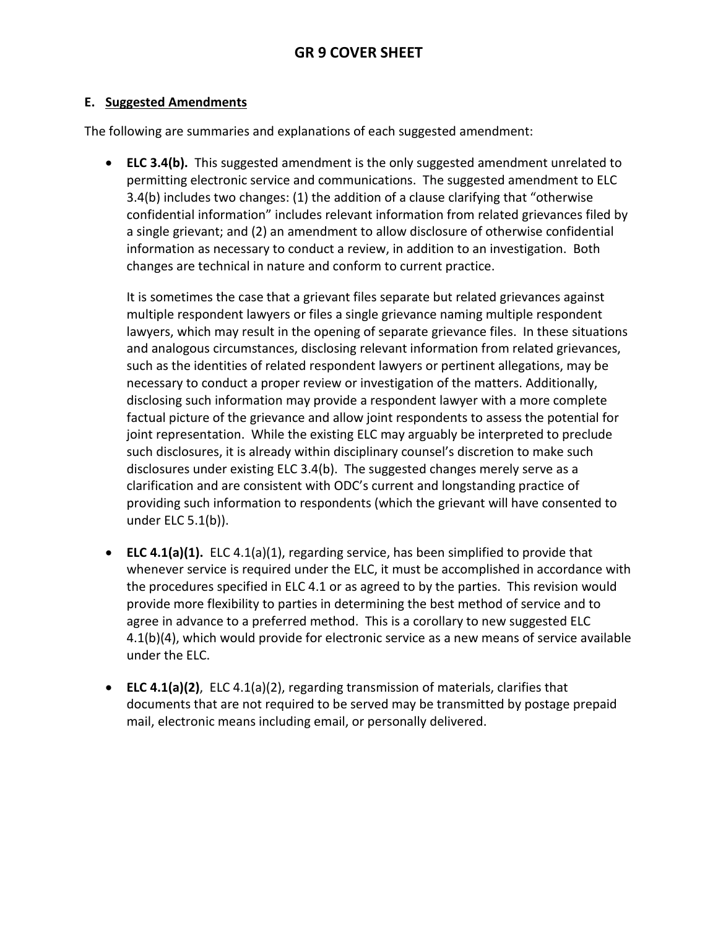#### **E. Suggested Amendments**

The following are summaries and explanations of each suggested amendment:

• **ELC 3.4(b).** This suggested amendment is the only suggested amendment unrelated to permitting electronic service and communications. The suggested amendment to ELC 3.4(b) includes two changes: (1) the addition of a clause clarifying that "otherwise confidential information" includes relevant information from related grievances filed by a single grievant; and (2) an amendment to allow disclosure of otherwise confidential information as necessary to conduct a review, in addition to an investigation. Both changes are technical in nature and conform to current practice.

It is sometimes the case that a grievant files separate but related grievances against multiple respondent lawyers or files a single grievance naming multiple respondent lawyers, which may result in the opening of separate grievance files. In these situations and analogous circumstances, disclosing relevant information from related grievances, such as the identities of related respondent lawyers or pertinent allegations, may be necessary to conduct a proper review or investigation of the matters. Additionally, disclosing such information may provide a respondent lawyer with a more complete factual picture of the grievance and allow joint respondents to assess the potential for joint representation. While the existing ELC may arguably be interpreted to preclude such disclosures, it is already within disciplinary counsel's discretion to make such disclosures under existing ELC 3.4(b). The suggested changes merely serve as a clarification and are consistent with ODC's current and longstanding practice of providing such information to respondents (which the grievant will have consented to under ELC 5.1(b)).

- **ELC 4.1(a)(1).** ELC 4.1(a)(1), regarding service, has been simplified to provide that whenever service is required under the ELC, it must be accomplished in accordance with the procedures specified in ELC 4.1 or as agreed to by the parties. This revision would provide more flexibility to parties in determining the best method of service and to agree in advance to a preferred method. This is a corollary to new suggested ELC 4.1(b)(4), which would provide for electronic service as a new means of service available under the ELC.
- **ELC 4.1(a)(2)**, ELC 4.1(a)(2), regarding transmission of materials, clarifies that documents that are not required to be served may be transmitted by postage prepaid mail, electronic means including email, or personally delivered.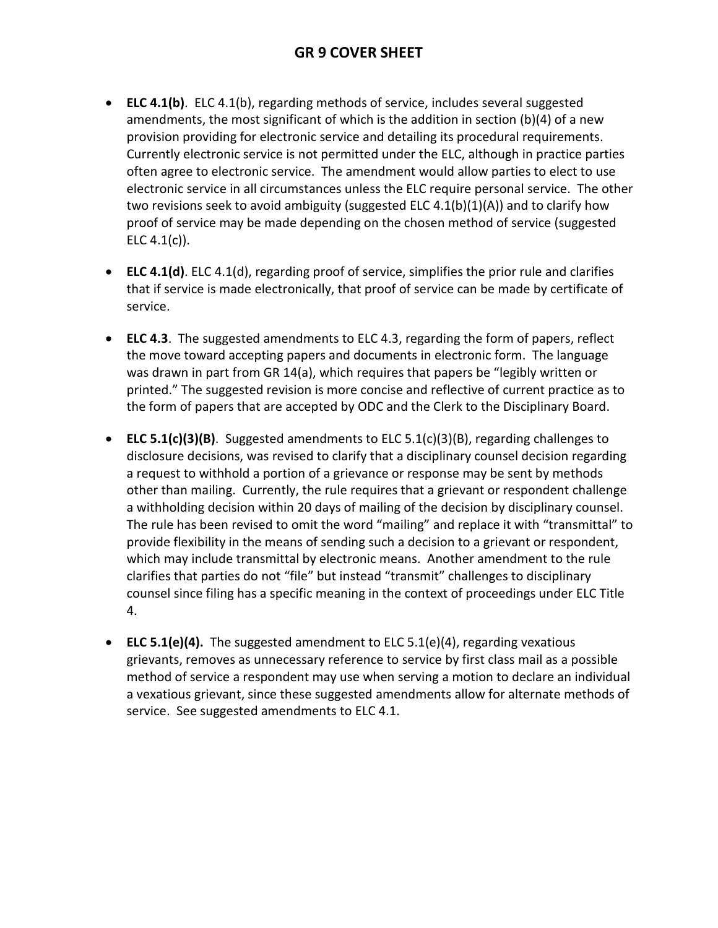- **ELC 4.1(b)**. ELC 4.1(b), regarding methods of service, includes several suggested amendments, the most significant of which is the addition in section (b)(4) of a new provision providing for electronic service and detailing its procedural requirements. Currently electronic service is not permitted under the ELC, although in practice parties often agree to electronic service. The amendment would allow parties to elect to use electronic service in all circumstances unless the ELC require personal service. The other two revisions seek to avoid ambiguity (suggested ELC 4.1(b)(1)(A)) and to clarify how proof of service may be made depending on the chosen method of service (suggested ELC  $4.1(c)$ ).
- **ELC 4.1(d)**. ELC 4.1(d), regarding proof of service, simplifies the prior rule and clarifies that if service is made electronically, that proof of service can be made by certificate of service.
- **ELC 4.3**. The suggested amendments to ELC 4.3, regarding the form of papers, reflect the move toward accepting papers and documents in electronic form. The language was drawn in part from GR 14(a), which requires that papers be "legibly written or printed." The suggested revision is more concise and reflective of current practice as to the form of papers that are accepted by ODC and the Clerk to the Disciplinary Board.
- **ELC 5.1(c)(3)(B)**. Suggested amendments to ELC 5.1(c)(3)(B), regarding challenges to disclosure decisions, was revised to clarify that a disciplinary counsel decision regarding a request to withhold a portion of a grievance or response may be sent by methods other than mailing. Currently, the rule requires that a grievant or respondent challenge a withholding decision within 20 days of mailing of the decision by disciplinary counsel. The rule has been revised to omit the word "mailing" and replace it with "transmittal" to provide flexibility in the means of sending such a decision to a grievant or respondent, which may include transmittal by electronic means. Another amendment to the rule clarifies that parties do not "file" but instead "transmit" challenges to disciplinary counsel since filing has a specific meaning in the context of proceedings under ELC Title 4.
- **ELC 5.1(e)(4).** The suggested amendment to ELC 5.1(e)(4), regarding vexatious grievants, removes as unnecessary reference to service by first class mail as a possible method of service a respondent may use when serving a motion to declare an individual a vexatious grievant, since these suggested amendments allow for alternate methods of service. See suggested amendments to ELC 4.1.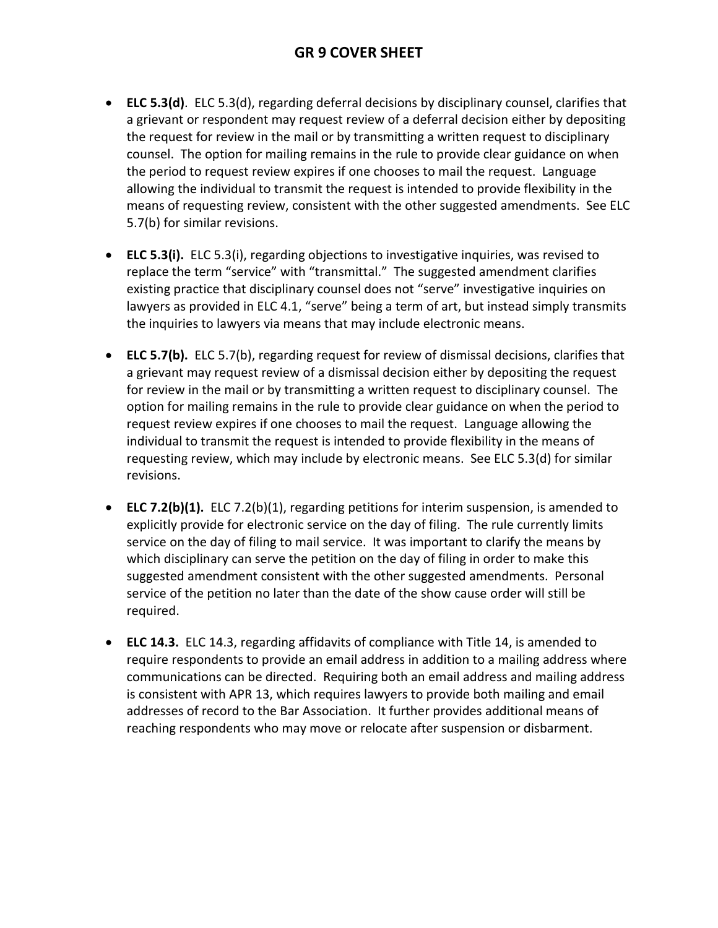- **ELC 5.3(d)**. ELC 5.3(d), regarding deferral decisions by disciplinary counsel, clarifies that a grievant or respondent may request review of a deferral decision either by depositing the request for review in the mail or by transmitting a written request to disciplinary counsel. The option for mailing remains in the rule to provide clear guidance on when the period to request review expires if one chooses to mail the request. Language allowing the individual to transmit the request is intended to provide flexibility in the means of requesting review, consistent with the other suggested amendments. See ELC 5.7(b) for similar revisions.
- **ELC 5.3(i).** ELC 5.3(i), regarding objections to investigative inquiries, was revised to replace the term "service" with "transmittal." The suggested amendment clarifies existing practice that disciplinary counsel does not "serve" investigative inquiries on lawyers as provided in ELC 4.1, "serve" being a term of art, but instead simply transmits the inquiries to lawyers via means that may include electronic means.
- **ELC 5.7(b).** ELC 5.7(b), regarding request for review of dismissal decisions, clarifies that a grievant may request review of a dismissal decision either by depositing the request for review in the mail or by transmitting a written request to disciplinary counsel. The option for mailing remains in the rule to provide clear guidance on when the period to request review expires if one chooses to mail the request. Language allowing the individual to transmit the request is intended to provide flexibility in the means of requesting review, which may include by electronic means. See ELC 5.3(d) for similar revisions.
- **ELC 7.2(b)(1).** ELC 7.2(b)(1), regarding petitions for interim suspension, is amended to explicitly provide for electronic service on the day of filing. The rule currently limits service on the day of filing to mail service. It was important to clarify the means by which disciplinary can serve the petition on the day of filing in order to make this suggested amendment consistent with the other suggested amendments. Personal service of the petition no later than the date of the show cause order will still be required.
- **ELC 14.3.** ELC 14.3, regarding affidavits of compliance with Title 14, is amended to require respondents to provide an email address in addition to a mailing address where communications can be directed. Requiring both an email address and mailing address is consistent with APR 13, which requires lawyers to provide both mailing and email addresses of record to the Bar Association. It further provides additional means of reaching respondents who may move or relocate after suspension or disbarment.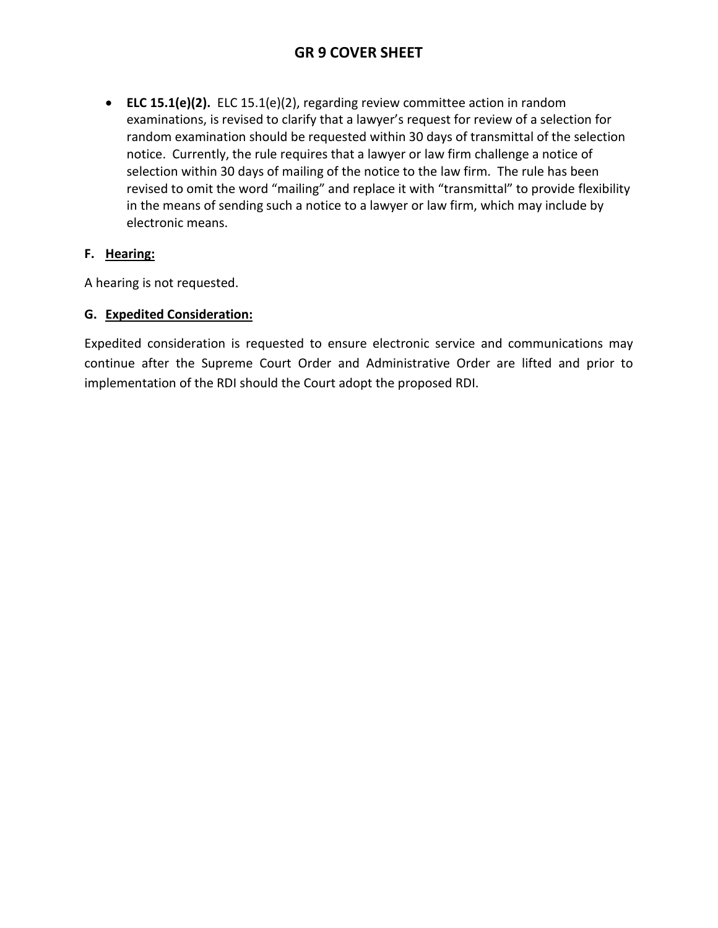• **ELC 15.1(e)(2).** ELC 15.1(e)(2), regarding review committee action in random examinations, is revised to clarify that a lawyer's request for review of a selection for random examination should be requested within 30 days of transmittal of the selection notice. Currently, the rule requires that a lawyer or law firm challenge a notice of selection within 30 days of mailing of the notice to the law firm. The rule has been revised to omit the word "mailing" and replace it with "transmittal" to provide flexibility in the means of sending such a notice to a lawyer or law firm, which may include by electronic means.

# **F. Hearing:**

A hearing is not requested.

# **G. Expedited Consideration:**

Expedited consideration is requested to ensure electronic service and communications may continue after the Supreme Court Order and Administrative Order are lifted and prior to implementation of the RDI should the Court adopt the proposed RDI.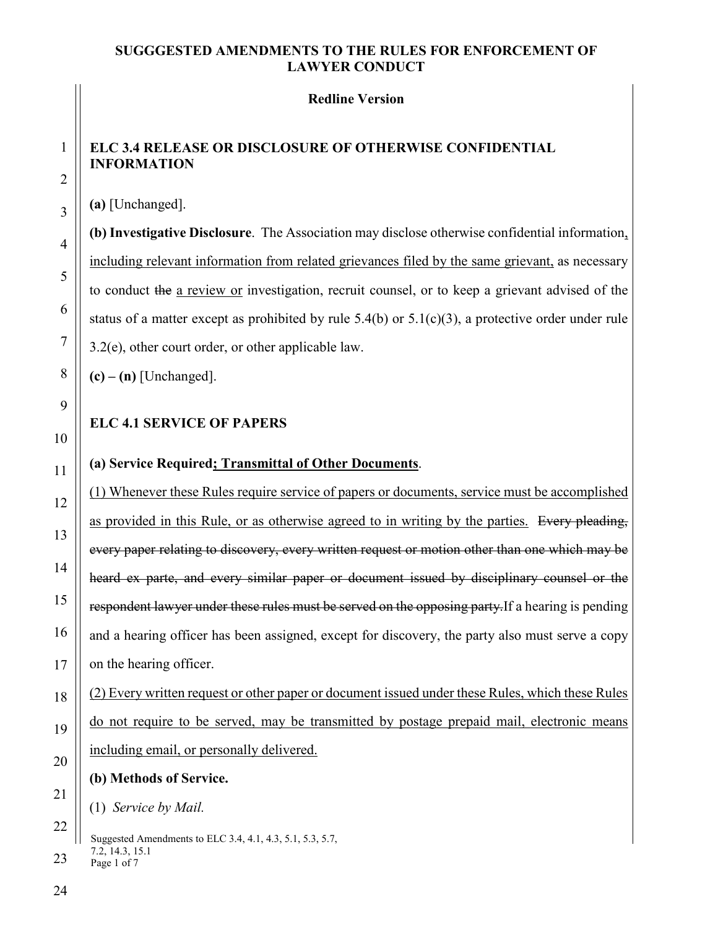#### **Redline Version**

# **ELC 3.4 RELEASE OR DISCLOSURE OF OTHERWISE CONFIDENTIAL INFORMATION**

**(a)** [Unchanged].

**(b) Investigative Disclosure**. The Association may disclose otherwise confidential information, including relevant information from related grievances filed by the same grievant, as necessary to conduct the a review or investigation, recruit counsel, or to keep a grievant advised of the status of a matter except as prohibited by rule 5.4(b) or 5.1(c)(3), a protective order under rule 3.2(e), other court order, or other applicable law.

 $(c) - (n)$  [Unchanged].

# **ELC 4.1 SERVICE OF PAPERS**

# **(a) Service Required; Transmittal of Other Documents**.

(1) Whenever these Rules require service of papers or documents, service must be accomplished as provided in this Rule, or as otherwise agreed to in writing by the parties. Every pleading, every paper relating to discovery, every written request or motion other than one which may be heard ex parte, and every similar paper or document issued by disciplinary counsel or the respondent lawyer under these rules must be served on the opposing party. If a hearing is pending and a hearing officer has been assigned, except for discovery, the party also must serve a copy on the hearing officer.

(2) Every written request or other paper or document issued under these Rules, which these Rules do not require to be served, may be transmitted by postage prepaid mail, electronic means including email, or personally delivered.

# **(b) Methods of Service.**

(1) *Service by Mail.*

Suggested Amendments to ELC 3.4, 4.1, 4.3, 5.1, 5.3, 5.7, 7.2, 14.3, 15.1 Page 1 of 7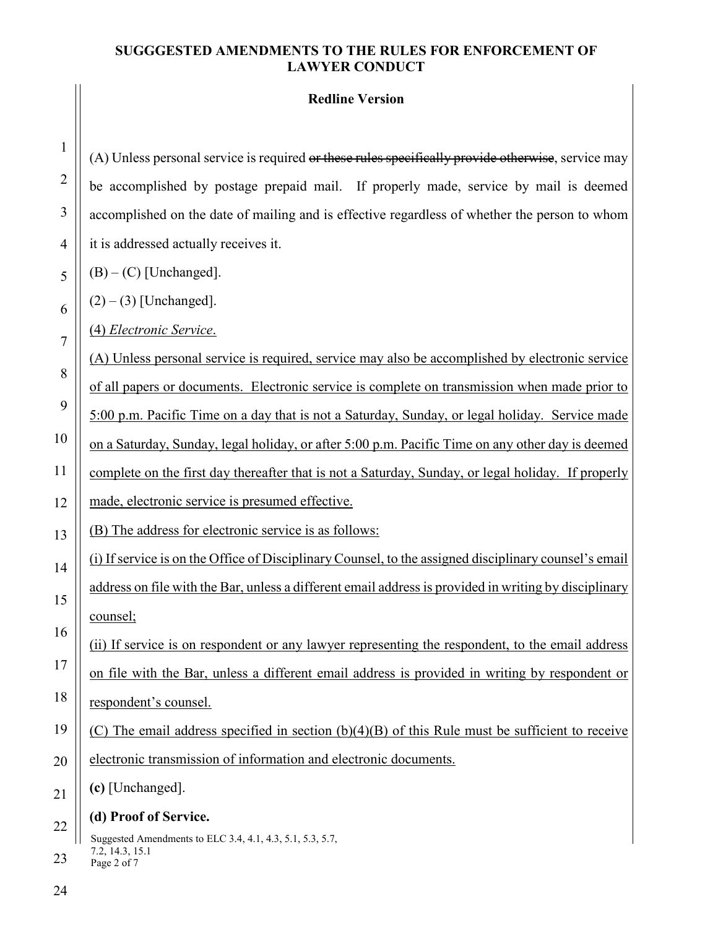### **Redline Version**

(A) Unless personal service is required or these rules specifically provide otherwise, service may be accomplished by postage prepaid mail. If properly made, service by mail is deemed accomplished on the date of mailing and is effective regardless of whether the person to whom it is addressed actually receives it.

 $(B) - (C)$  [Unchanged].

 $(2) - (3)$  [Unchanged].

(4) *Electronic Service*.

(A) Unless personal service is required, service may also be accomplished by electronic service of all papers or documents. Electronic service is complete on transmission when made prior to 5:00 p.m. Pacific Time on a day that is not a Saturday, Sunday, or legal holiday. Service made on a Saturday, Sunday, legal holiday, or after 5:00 p.m. Pacific Time on any other day is deemed complete on the first day thereafter that is not a Saturday, Sunday, or legal holiday. If properly made, electronic service is presumed effective.

(B) The address for electronic service is as follows:

(i) If service is on the Office of Disciplinary Counsel, to the assigned disciplinary counsel's email address on file with the Bar, unless a different email address is provided in writing by disciplinary counsel;

(ii) If service is on respondent or any lawyer representing the respondent, to the email address on file with the Bar, unless a different email address is provided in writing by respondent or respondent's counsel.

(C) The email address specified in section (b)(4)(B) of this Rule must be sufficient to receive

electronic transmission of information and electronic documents.

**(c)** [Unchanged].

# **(d) Proof of Service.**

Suggested Amendments to ELC 3.4, 4.1, 4.3, 5.1, 5.3, 5.7, 7.2, 14.3, 15.1 Page 2 of 7

1

2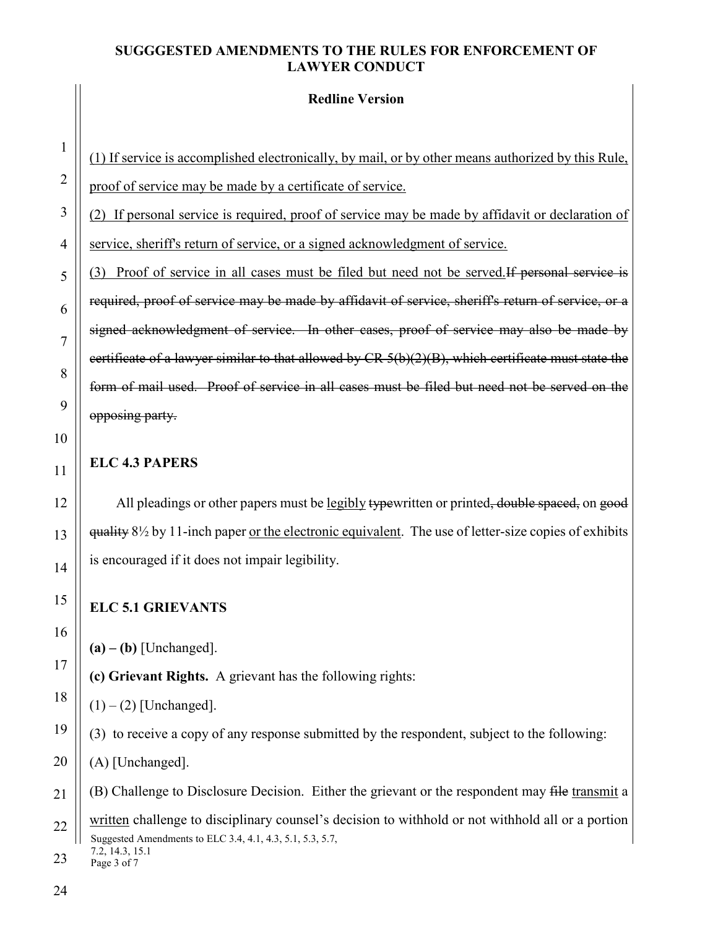**Redline Version**

(1) If service is accomplished electronically, by mail, or by other means authorized by this Rule, proof of service may be made by a certificate of service.

(2) If personal service is required, proof of service may be made by affidavit or declaration of service, sheriff's return of service, or a signed acknowledgment of service.

(3) Proof of service in all cases must be filed but need not be served.If personal service is required, proof of service may be made by affidavit of service, sheriff's return of service, or a signed acknowledgment of service. In other cases, proof of service may also be made by certificate of a lawyer similar to that allowed by  $CR 5(b)(2)(B)$ , which certificate must state the form of mail used. Proof of service in all cases must be filed but need not be served on the opposing party.

# **ELC 4.3 PAPERS**

All pleadings or other papers must be legibly typewritten or printed, double spaced, on good quality 8½ by 11-inch paper or the electronic equivalent. The use of letter-size copies of exhibits is encouraged if it does not impair legibility.

# **ELC 5.1 GRIEVANTS**

**(a) – (b)** [Unchanged].

**(c) Grievant Rights.** A grievant has the following rights:

 $(1) - (2)$  [Unchanged].

(3) to receive a copy of any response submitted by the respondent, subject to the following:

(A) [Unchanged].

(B) Challenge to Disclosure Decision. Either the grievant or the respondent may file transmit a

Suggested Amendments to ELC 3.4, 4.1, 4.3, 5.1, 5.3, 5.7, 7.2, 14.3, 15.1 written challenge to disciplinary counsel's decision to withhold or not withhold all or a portion

Page 3 of 7 23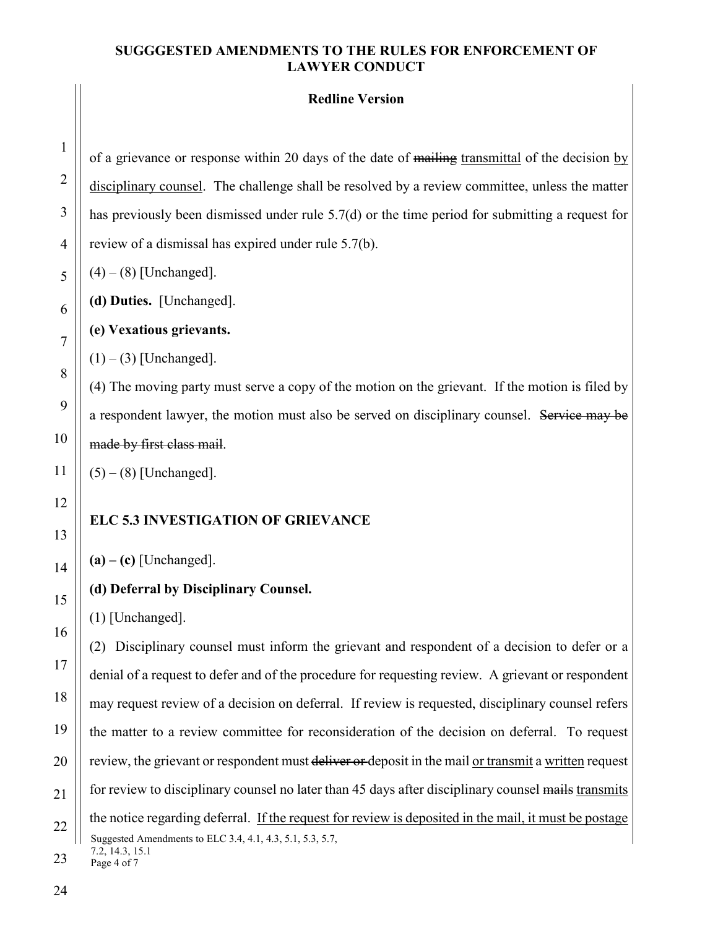#### **Redline Version**

of a grievance or response within 20 days of the date of mailing transmittal of the decision by disciplinary counsel. The challenge shall be resolved by a review committee, unless the matter has previously been dismissed under rule 5.7(d) or the time period for submitting a request for review of a dismissal has expired under rule 5.7(b).

 $(4) - (8)$  [Unchanged].

**(d) Duties.** [Unchanged].

**(e) Vexatious grievants.**

 $(1) - (3)$  [Unchanged].

(4) The moving party must serve a copy of the motion on the grievant. If the motion is filed by a respondent lawyer, the motion must also be served on disciplinary counsel. Service may be made by first class mail.

 $(5) - (8)$  [Unchanged].

### **ELC 5.3 INVESTIGATION OF GRIEVANCE**

**(a) – (c)** [Unchanged].

#### **(d) Deferral by Disciplinary Counsel.**

(1) [Unchanged].

Suggested Amendments to ELC 3.4, 4.1, 4.3, 5.1, 5.3, 5.7, 7.2, 14.3, 15.1 (2) Disciplinary counsel must inform the grievant and respondent of a decision to defer or a denial of a request to defer and of the procedure for requesting review. A grievant or respondent may request review of a decision on deferral. If review is requested, disciplinary counsel refers the matter to a review committee for reconsideration of the decision on deferral. To request review, the grievant or respondent must deliver or deposit in the mail or transmit a written request for review to disciplinary counsel no later than 45 days after disciplinary counsel mails transmits the notice regarding deferral. If the request for review is deposited in the mail, it must be postage

Page 4 of 7 23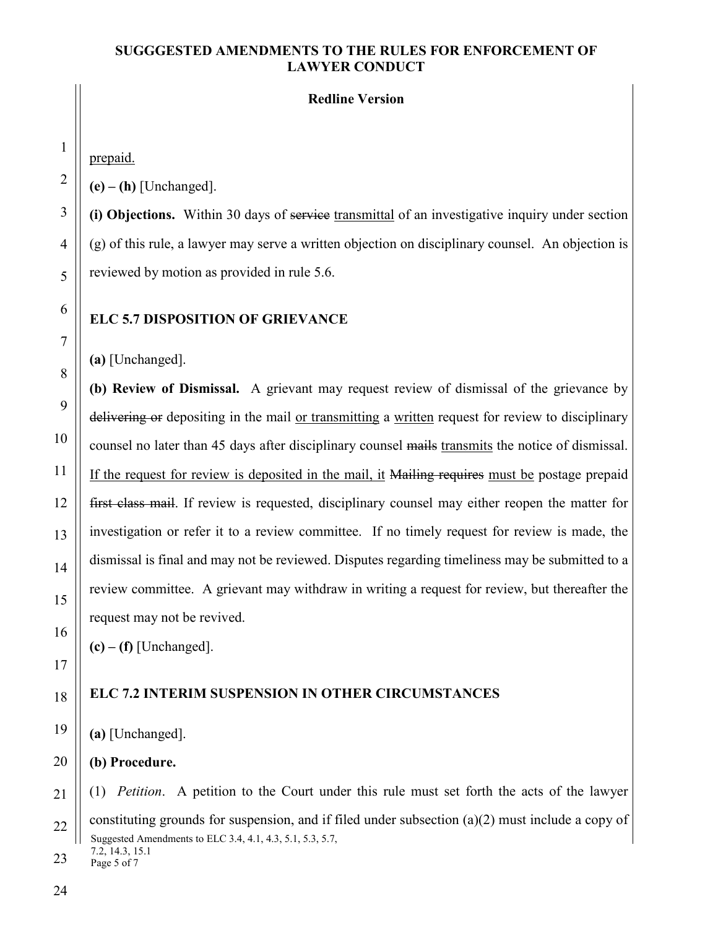#### **Redline Version**

prepaid.

**(e) – (h)** [Unchanged].

**(i) Objections.** Within 30 days of service transmittal of an investigative inquiry under section (g) of this rule, a lawyer may serve a written objection on disciplinary counsel. An objection is reviewed by motion as provided in rule 5.6.

#### **ELC 5.7 DISPOSITION OF GRIEVANCE**

**(a)** [Unchanged].

**(b) Review of Dismissal.** A grievant may request review of dismissal of the grievance by delivering or depositing in the mail or transmitting a written request for review to disciplinary counsel no later than 45 days after disciplinary counsel mails transmits the notice of dismissal. If the request for review is deposited in the mail, it Mailing requires must be postage prepaid first class mail. If review is requested, disciplinary counsel may either reopen the matter for investigation or refer it to a review committee. If no timely request for review is made, the dismissal is final and may not be reviewed. Disputes regarding timeliness may be submitted to a review committee. A grievant may withdraw in writing a request for review, but thereafter the request may not be revived.

 $(c) - (f)$  [Unchanged].

# **ELC 7.2 INTERIM SUSPENSION IN OTHER CIRCUMSTANCES**

**(a)** [Unchanged].

**(b) Procedure.**

Suggested Amendments to ELC 3.4, 4.1, 4.3, 5.1, 5.3, 5.7, 7.2, 14.3, 15.1 (1) *Petition*. A petition to the Court under this rule must set forth the acts of the lawyer constituting grounds for suspension, and if filed under subsection (a)(2) must include a copy of

Page 5 of 7 23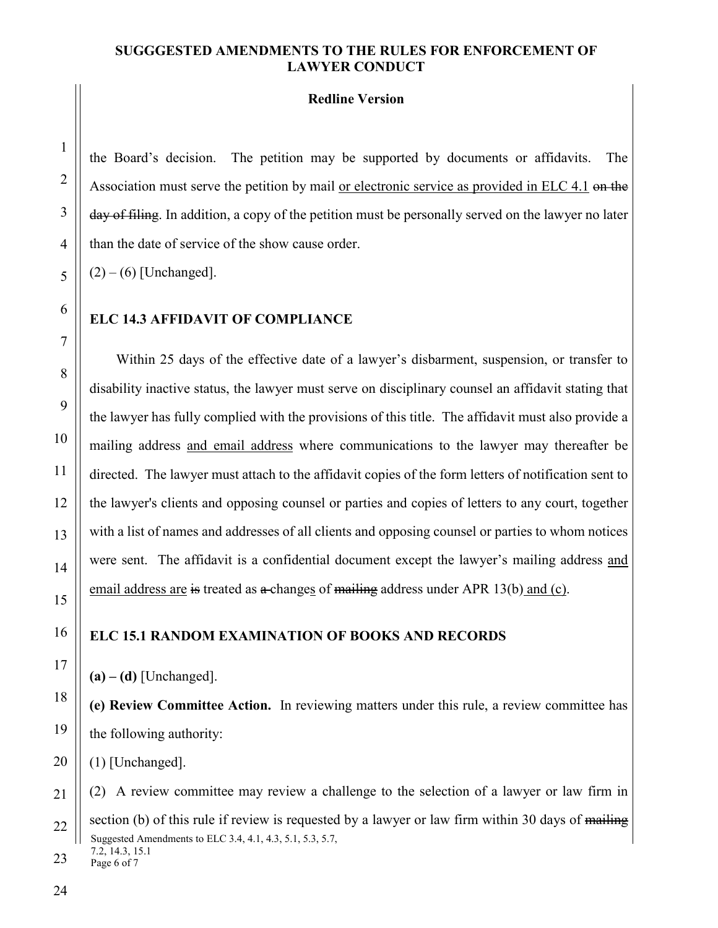#### **Redline Version**

the Board's decision. The petition may be supported by documents or affidavits. The Association must serve the petition by mail or electronic service as provided in ELC 4.1 on the day of filing. In addition, a copy of the petition must be personally served on the lawyer no later than the date of service of the show cause order.

 $(2) - (6)$  [Unchanged].

#### **ELC 14.3 AFFIDAVIT OF COMPLIANCE**

Within 25 days of the effective date of a lawyer's disbarment, suspension, or transfer to disability inactive status, the lawyer must serve on disciplinary counsel an affidavit stating that the lawyer has fully complied with the provisions of this title. The affidavit must also provide a mailing address and email address where communications to the lawyer may thereafter be directed. The lawyer must attach to the affidavit copies of the form letters of notification sent to the lawyer's clients and opposing counsel or parties and copies of letters to any court, together with a list of names and addresses of all clients and opposing counsel or parties to whom notices were sent. The affidavit is a confidential document except the lawyer's mailing address and email address are is treated as  $\alpha$ -changes of mailing address under APR 13(b) and (c).

#### **ELC 15.1 RANDOM EXAMINATION OF BOOKS AND RECORDS**

**(a) – (d)** [Unchanged].

**(e) Review Committee Action.** In reviewing matters under this rule, a review committee has the following authority:

(1) [Unchanged].

Suggested Amendments to ELC 3.4, 4.1, 4.3, 5.1, 5.3, 5.7, 7.2, 14.3, 15.1 22 (2) A review committee may review a challenge to the selection of a lawyer or law firm in section (b) of this rule if review is requested by a lawyer or law firm within 30 days of mailing

Page 6 of 7 23

1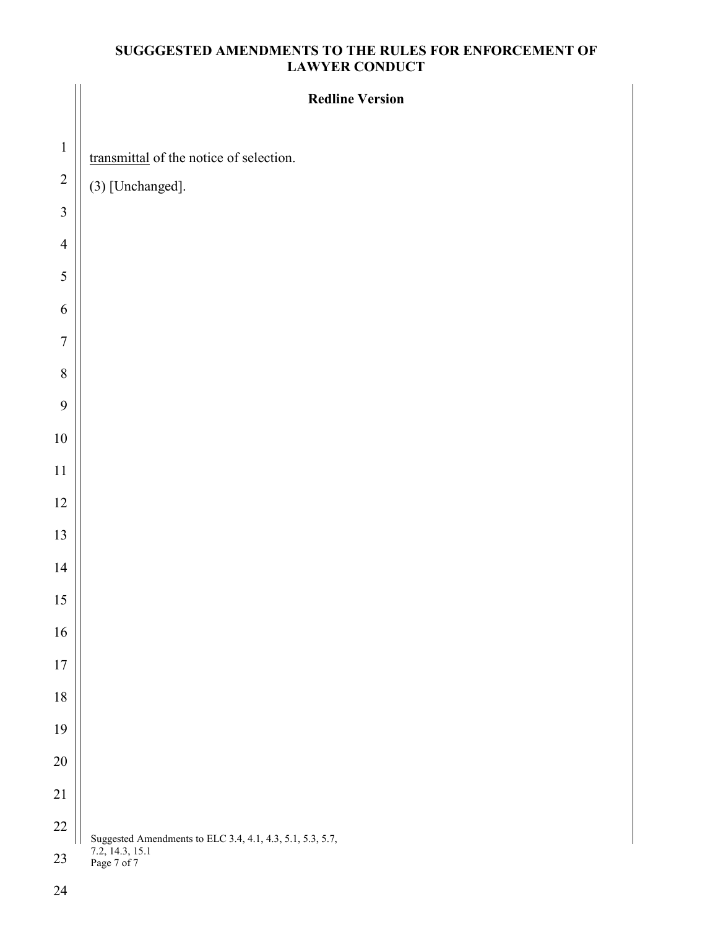|                  | <b>Redline Version</b>                                    |
|------------------|-----------------------------------------------------------|
| $\,1\,$          | transmittal of the notice of selection.                   |
| $\sqrt{2}$       | $(3)$ [Unchanged].                                        |
| $\mathfrak{Z}$   |                                                           |
| $\overline{4}$   |                                                           |
| $\sqrt{5}$       |                                                           |
| 6                |                                                           |
| $\boldsymbol{7}$ |                                                           |
| $\, 8$           |                                                           |
| 9                |                                                           |
| $10\,$           |                                                           |
| $11\,$           |                                                           |
| 12               |                                                           |
| 13               |                                                           |
| $14$             |                                                           |
| 15               |                                                           |
| 16               |                                                           |
| 17               |                                                           |
| $18\,$           |                                                           |
| 19               |                                                           |
| 20               |                                                           |
| 21               |                                                           |
| $22\,$           | Suggested Amendments to ELC 3.4, 4.1, 4.3, 5.1, 5.3, 5.7, |
| $23\,$           | 7.2, 14.3, 15.1<br>Page 7 of 7                            |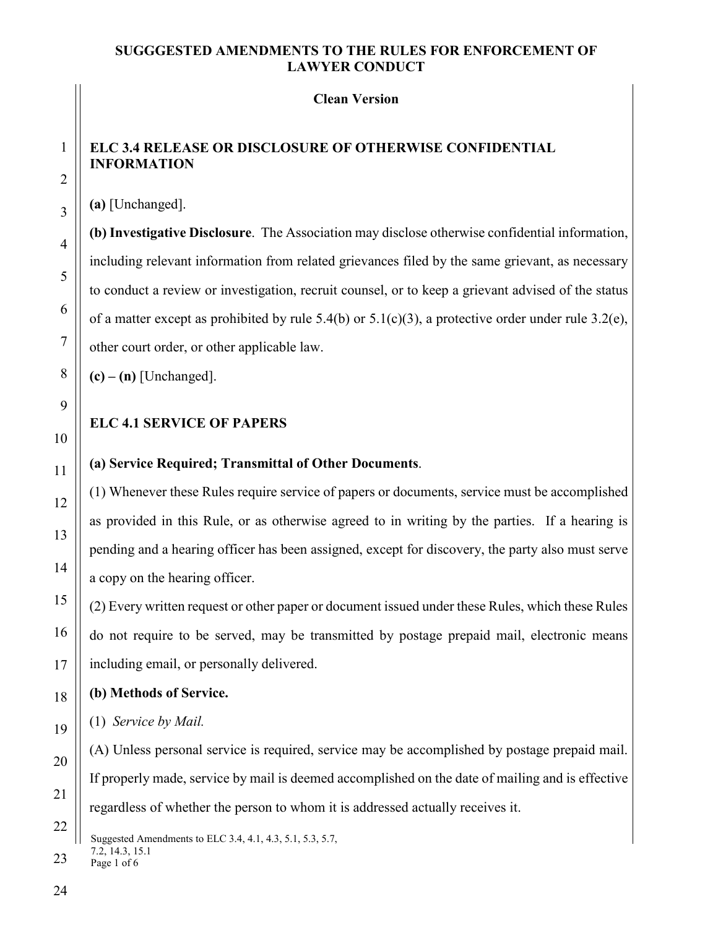#### **Clean Version**

# **ELC 3.4 RELEASE OR DISCLOSURE OF OTHERWISE CONFIDENTIAL INFORMATION**

**(a)** [Unchanged].

**(b) Investigative Disclosure**. The Association may disclose otherwise confidential information, including relevant information from related grievances filed by the same grievant, as necessary to conduct a review or investigation, recruit counsel, or to keep a grievant advised of the status of a matter except as prohibited by rule 5.4(b) or  $5.1(c)(3)$ , a protective order under rule 3.2(e), other court order, or other applicable law.

 $(c) - (n)$  [Unchanged].

# **ELC 4.1 SERVICE OF PAPERS**

# **(a) Service Required; Transmittal of Other Documents**.

(1) Whenever these Rules require service of papers or documents, service must be accomplished as provided in this Rule, or as otherwise agreed to in writing by the parties. If a hearing is pending and a hearing officer has been assigned, except for discovery, the party also must serve a copy on the hearing officer.

(2) Every written request or other paper or document issued under these Rules, which these Rules do not require to be served, may be transmitted by postage prepaid mail, electronic means including email, or personally delivered.

### **(b) Methods of Service.**

(1) *Service by Mail.*

(A) Unless personal service is required, service may be accomplished by postage prepaid mail. If properly made, service by mail is deemed accomplished on the date of mailing and is effective regardless of whether the person to whom it is addressed actually receives it.

Suggested Amendments to ELC 3.4, 4.1, 4.3, 5.1, 5.3, 5.7, 7.2, 14.3, 15.1

Page 1 of 6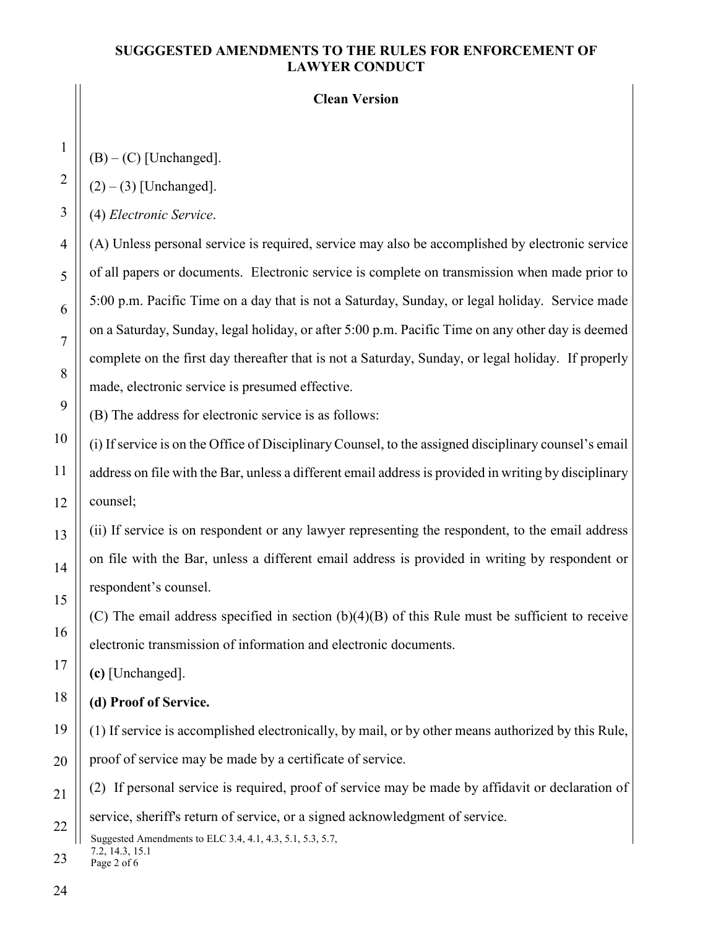#### **Clean Version**

 $(B) - (C)$  [Unchanged].

 $(2) - (3)$  [Unchanged].

(4) *Electronic Service*.

(A) Unless personal service is required, service may also be accomplished by electronic service of all papers or documents. Electronic service is complete on transmission when made prior to 5:00 p.m. Pacific Time on a day that is not a Saturday, Sunday, or legal holiday. Service made on a Saturday, Sunday, legal holiday, or after 5:00 p.m. Pacific Time on any other day is deemed complete on the first day thereafter that is not a Saturday, Sunday, or legal holiday. If properly made, electronic service is presumed effective.

(B) The address for electronic service is as follows:

(i) If service is on the Office of Disciplinary Counsel, to the assigned disciplinary counsel's email address on file with the Bar, unless a different email address is provided in writing by disciplinary counsel;

(ii) If service is on respondent or any lawyer representing the respondent, to the email address on file with the Bar, unless a different email address is provided in writing by respondent or respondent's counsel.

(C) The email address specified in section (b)(4)(B) of this Rule must be sufficient to receive electronic transmission of information and electronic documents.

**(c)** [Unchanged].

**(d) Proof of Service.** 

(1) If service is accomplished electronically, by mail, or by other means authorized by this Rule, proof of service may be made by a certificate of service.

(2) If personal service is required, proof of service may be made by affidavit or declaration of service, sheriff's return of service, or a signed acknowledgment of service.

Suggested Amendments to ELC 3.4, 4.1, 4.3, 5.1, 5.3, 5.7, 7.2, 14.3, 15.1

Page 2 of 6

1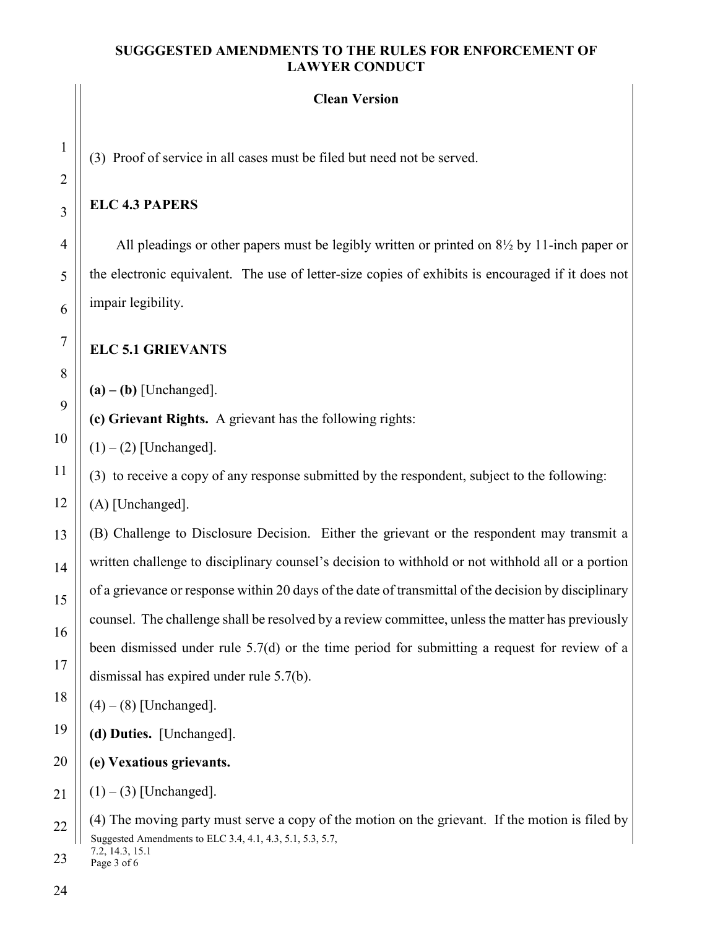# **Clean Version**

(3) Proof of service in all cases must be filed but need not be served.

# **ELC 4.3 PAPERS**

All pleadings or other papers must be legibly written or printed on 8½ by 11-inch paper or the electronic equivalent. The use of letter-size copies of exhibits is encouraged if it does not impair legibility.

# **ELC 5.1 GRIEVANTS**

 $(a) - (b)$  [Unchanged].

**(c) Grievant Rights.** A grievant has the following rights:

 $(1) - (2)$  [Unchanged].

(3) to receive a copy of any response submitted by the respondent, subject to the following:

(A) [Unchanged].

(B) Challenge to Disclosure Decision. Either the grievant or the respondent may transmit a written challenge to disciplinary counsel's decision to withhold or not withhold all or a portion of a grievance or response within 20 days of the date of transmittal of the decision by disciplinary counsel. The challenge shall be resolved by a review committee, unless the matter has previously been dismissed under rule 5.7(d) or the time period for submitting a request for review of a dismissal has expired under rule 5.7(b).

 $(4) - (8)$  [Unchanged].

**(d) Duties.** [Unchanged].

**(e) Vexatious grievants.**

 $(1) - (3)$  [Unchanged].

Page 3 of 6 23

Suggested Amendments to ELC 3.4, 4.1, 4.3, 5.1, 5.3, 5.7, 7.2, 14.3, 15.1 (4) The moving party must serve a copy of the motion on the grievant. If the motion is filed by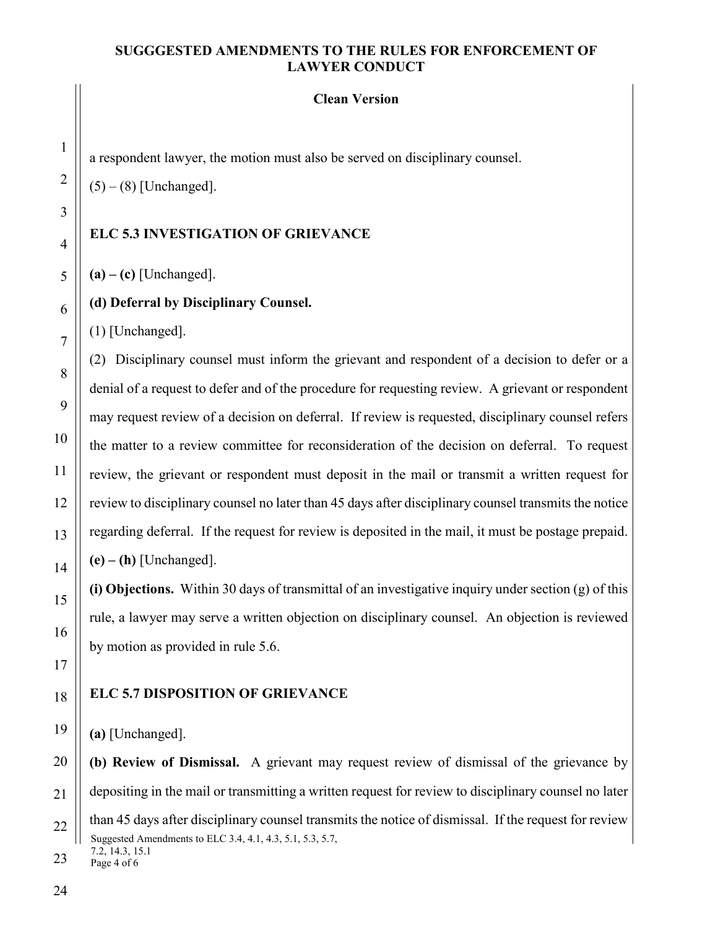#### **Clean Version**

a respondent lawyer, the motion must also be served on disciplinary counsel.

 $(5) - (8)$  [Unchanged].

#### **ELC 5.3 INVESTIGATION OF GRIEVANCE**

**(a) – (c)** [Unchanged].

#### **(d) Deferral by Disciplinary Counsel.**

(1) [Unchanged].

(2) Disciplinary counsel must inform the grievant and respondent of a decision to defer or a denial of a request to defer and of the procedure for requesting review. A grievant or respondent may request review of a decision on deferral. If review is requested, disciplinary counsel refers the matter to a review committee for reconsideration of the decision on deferral. To request review, the grievant or respondent must deposit in the mail or transmit a written request for review to disciplinary counsel no later than 45 days after disciplinary counsel transmits the notice regarding deferral. If the request for review is deposited in the mail, it must be postage prepaid. **(e) – (h)** [Unchanged].

**(i) Objections.** Within 30 days of transmittal of an investigative inquiry under section (g) of this rule, a lawyer may serve a written objection on disciplinary counsel. An objection is reviewed by motion as provided in rule 5.6.

#### **ELC 5.7 DISPOSITION OF GRIEVANCE**

**(a)** [Unchanged].

Suggested Amendments to ELC 3.4, 4.1, 4.3, 5.1, 5.3, 5.7, 7.2, 14.3, 15.1 **(b) Review of Dismissal.** A grievant may request review of dismissal of the grievance by depositing in the mail or transmitting a written request for review to disciplinary counsel no later than 45 days after disciplinary counsel transmits the notice of dismissal. If the request for review

Page 4 of 6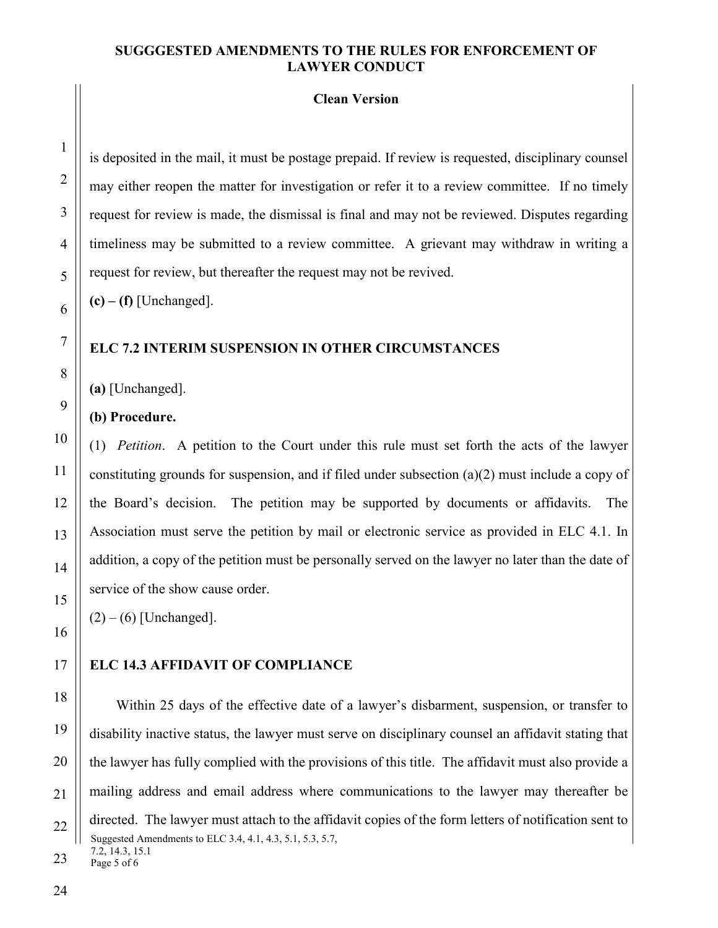#### **Clean Version**

is deposited in the mail, it must be postage prepaid. If review is requested, disciplinary counsel may either reopen the matter for investigation or refer it to a review committee. If no timely request for review is made, the dismissal is final and may not be reviewed. Disputes regarding timeliness may be submitted to a review committee. A grievant may withdraw in writing a request for review, but thereafter the request may not be revived.

 $(c) - (f)$  [Unchanged].

#### **ELC 7.2 INTERIM SUSPENSION IN OTHER CIRCUMSTANCES**

**(a)** [Unchanged].

**(b) Procedure.**

(1) *Petition*. A petition to the Court under this rule must set forth the acts of the lawyer constituting grounds for suspension, and if filed under subsection (a)(2) must include a copy of the Board's decision. The petition may be supported by documents or affidavits. The Association must serve the petition by mail or electronic service as provided in ELC 4.1. In addition, a copy of the petition must be personally served on the lawyer no later than the date of service of the show cause order.

 $(2) - (6)$  [Unchanged].

#### **ELC 14.3 AFFIDAVIT OF COMPLIANCE**

Suggested Amendments to ELC 3.4, 4.1, 4.3, 5.1, 5.3, 5.7, 7.2, 14.3, 15.1 Within 25 days of the effective date of a lawyer's disbarment, suspension, or transfer to disability inactive status, the lawyer must serve on disciplinary counsel an affidavit stating that the lawyer has fully complied with the provisions of this title. The affidavit must also provide a mailing address and email address where communications to the lawyer may thereafter be directed. The lawyer must attach to the affidavit copies of the form letters of notification sent to

Page 5 of 6